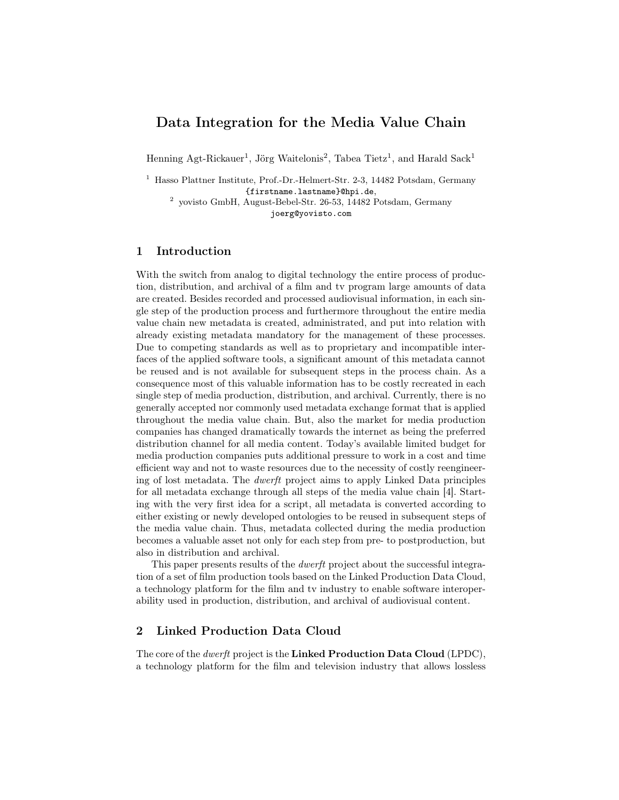# Data Integration for the Media Value Chain

Henning Agt-Rickauer<sup>1</sup>, Jörg Waitelonis<sup>2</sup>, Tabea Tietz<sup>1</sup>, and Harald Sack<sup>1</sup>

<sup>1</sup> Hasso Plattner Institute, Prof.-Dr.-Helmert-Str. 2-3, 14482 Potsdam, Germany {firstname.lastname}@hpi.de,

2 yovisto GmbH, August-Bebel-Str. 26-53, 14482 Potsdam, Germany joerg@yovisto.com

## 1 Introduction

With the switch from analog to digital technology the entire process of production, distribution, and archival of a film and tv program large amounts of data are created. Besides recorded and processed audiovisual information, in each single step of the production process and furthermore throughout the entire media value chain new metadata is created, administrated, and put into relation with already existing metadata mandatory for the management of these processes. Due to competing standards as well as to proprietary and incompatible interfaces of the applied software tools, a significant amount of this metadata cannot be reused and is not available for subsequent steps in the process chain. As a consequence most of this valuable information has to be costly recreated in each single step of media production, distribution, and archival. Currently, there is no generally accepted nor commonly used metadata exchange format that is applied throughout the media value chain. But, also the market for media production companies has changed dramatically towards the internet as being the preferred distribution channel for all media content. Today's available limited budget for media production companies puts additional pressure to work in a cost and time efficient way and not to waste resources due to the necessity of costly reengineering of lost metadata. The dwerft project aims to apply Linked Data principles for all metadata exchange through all steps of the media value chain [4]. Starting with the very first idea for a script, all metadata is converted according to either existing or newly developed ontologies to be reused in subsequent steps of the media value chain. Thus, metadata collected during the media production becomes a valuable asset not only for each step from pre- to postproduction, but also in distribution and archival.

This paper presents results of the dwerft project about the successful integration of a set of film production tools based on the Linked Production Data Cloud, a technology platform for the film and tv industry to enable software interoperability used in production, distribution, and archival of audiovisual content.

## 2 Linked Production Data Cloud

The core of the *dwerft* project is the Linked Production Data Cloud (LPDC), a technology platform for the film and television industry that allows lossless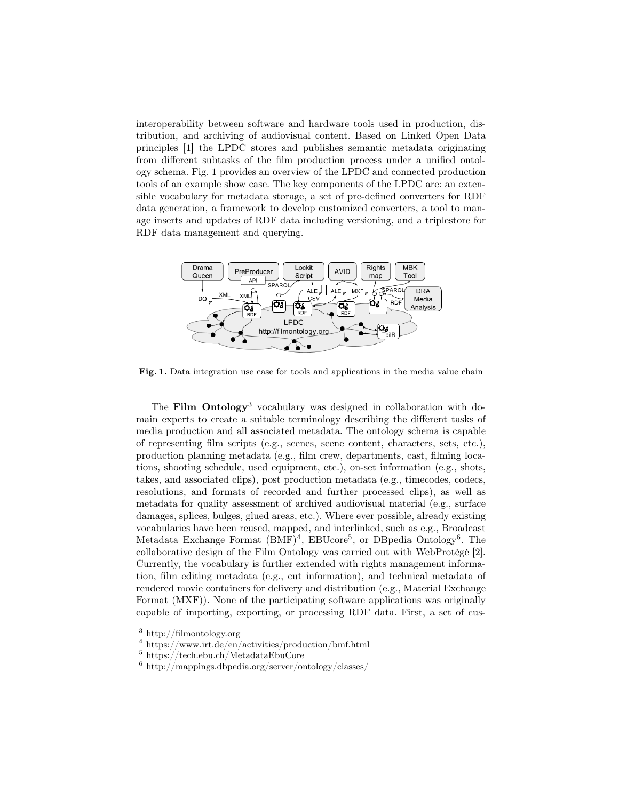interoperability between software and hardware tools used in production, distribution, and archiving of audiovisual content. Based on Linked Open Data principles [1] the LPDC stores and publishes semantic metadata originating from different subtasks of the film production process under a unified ontology schema. Fig. 1 provides an overview of the LPDC and connected production tools of an example show case. The key components of the LPDC are: an extensible vocabulary for metadata storage, a set of pre-defined converters for RDF data generation, a framework to develop customized converters, a tool to manage inserts and updates of RDF data including versioning, and a triplestore for RDF data management and querying.



Fig. 1. Data integration use case for tools and applications in the media value chain

The Film Ontology<sup>3</sup> vocabulary was designed in collaboration with domain experts to create a suitable terminology describing the different tasks of media production and all associated metadata. The ontology schema is capable of representing film scripts (e.g., scenes, scene content, characters, sets, etc.), production planning metadata (e.g., film crew, departments, cast, filming locations, shooting schedule, used equipment, etc.), on-set information (e.g., shots, takes, and associated clips), post production metadata (e.g., timecodes, codecs, resolutions, and formats of recorded and further processed clips), as well as metadata for quality assessment of archived audiovisual material (e.g., surface damages, splices, bulges, glued areas, etc.). Where ever possible, already existing vocabularies have been reused, mapped, and interlinked, such as e.g., Broadcast Metadata Exchange Format (BMF)<sup>4</sup>, EBUcore<sup>5</sup>, or DBpedia Ontology<sup>6</sup>. The collaborative design of the Film Ontology was carried out with WebProtégé [2]. Currently, the vocabulary is further extended with rights management information, film editing metadata (e.g., cut information), and technical metadata of rendered movie containers for delivery and distribution (e.g., Material Exchange Format (MXF)). None of the participating software applications was originally capable of importing, exporting, or processing RDF data. First, a set of cus-

<sup>3</sup> http://filmontology.org

<sup>4</sup> https://www.irt.de/en/activities/production/bmf.html

<sup>5</sup> https://tech.ebu.ch/MetadataEbuCore

<sup>6</sup> http://mappings.dbpedia.org/server/ontology/classes/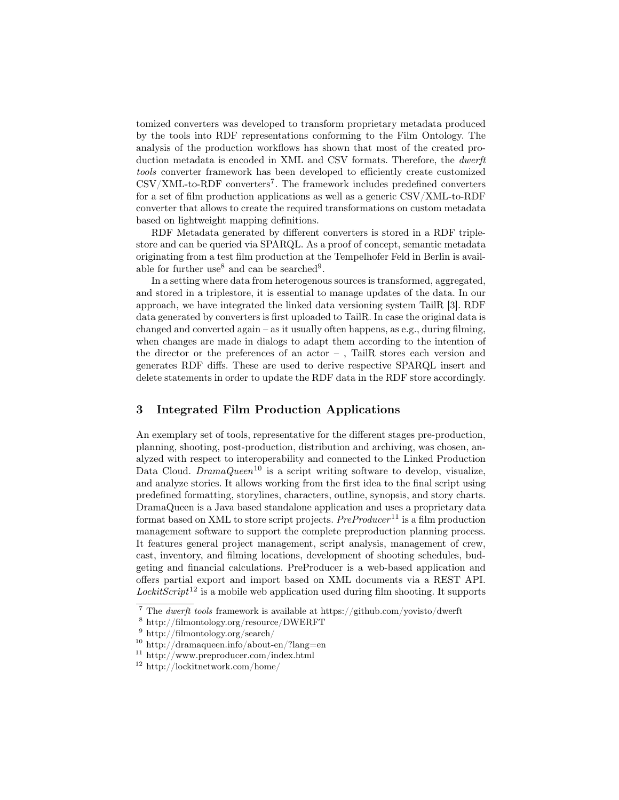tomized converters was developed to transform proprietary metadata produced by the tools into RDF representations conforming to the Film Ontology. The analysis of the production workflows has shown that most of the created production metadata is encoded in XML and CSV formats. Therefore, the dwerft tools converter framework has been developed to efficiently create customized  $\text{CSV}/\text{XML-to-RDF}$  converters<sup>7</sup>. The framework includes predefined converters for a set of film production applications as well as a generic CSV/XML-to-RDF converter that allows to create the required transformations on custom metadata based on lightweight mapping definitions.

RDF Metadata generated by different converters is stored in a RDF triplestore and can be queried via SPARQL. As a proof of concept, semantic metadata originating from a test film production at the Tempelhofer Feld in Berlin is available for further use<sup>8</sup> and can be searched<sup>9</sup>.

In a setting where data from heterogenous sources is transformed, aggregated, and stored in a triplestore, it is essential to manage updates of the data. In our approach, we have integrated the linked data versioning system TailR [3]. RDF data generated by converters is first uploaded to TailR. In case the original data is changed and converted again – as it usually often happens, as e.g., during filming, when changes are made in dialogs to adapt them according to the intention of the director or the preferences of an actor – , TailR stores each version and generates RDF diffs. These are used to derive respective SPARQL insert and delete statements in order to update the RDF data in the RDF store accordingly.

#### 3 Integrated Film Production Applications

An exemplary set of tools, representative for the different stages pre-production, planning, shooting, post-production, distribution and archiving, was chosen, analyzed with respect to interoperability and connected to the Linked Production Data Cloud.  $DramaQueen^{10}$  is a script writing software to develop, visualize, and analyze stories. It allows working from the first idea to the final script using predefined formatting, storylines, characters, outline, synopsis, and story charts. DramaQueen is a Java based standalone application and uses a proprietary data format based on XML to store script projects.  $PreProduct<sup>11</sup>$  is a film production management software to support the complete preproduction planning process. It features general project management, script analysis, management of crew, cast, inventory, and filming locations, development of shooting schedules, budgeting and financial calculations. PreProducer is a web-based application and offers partial export and import based on XML documents via a REST API. LockitScript<sup>12</sup> is a mobile web application used during film shooting. It supports

<sup>&</sup>lt;sup>7</sup> The *dwerft tools* framework is available at https://github.com/yovisto/dwerft

<sup>8</sup> http://filmontology.org/resource/DWERFT

<sup>9</sup> http://filmontology.org/search/

 $10$  http://dramaqueen.info/about-en/?lang=en

<sup>11</sup> http://www.preproducer.com/index.html

<sup>12</sup> http://lockitnetwork.com/home/